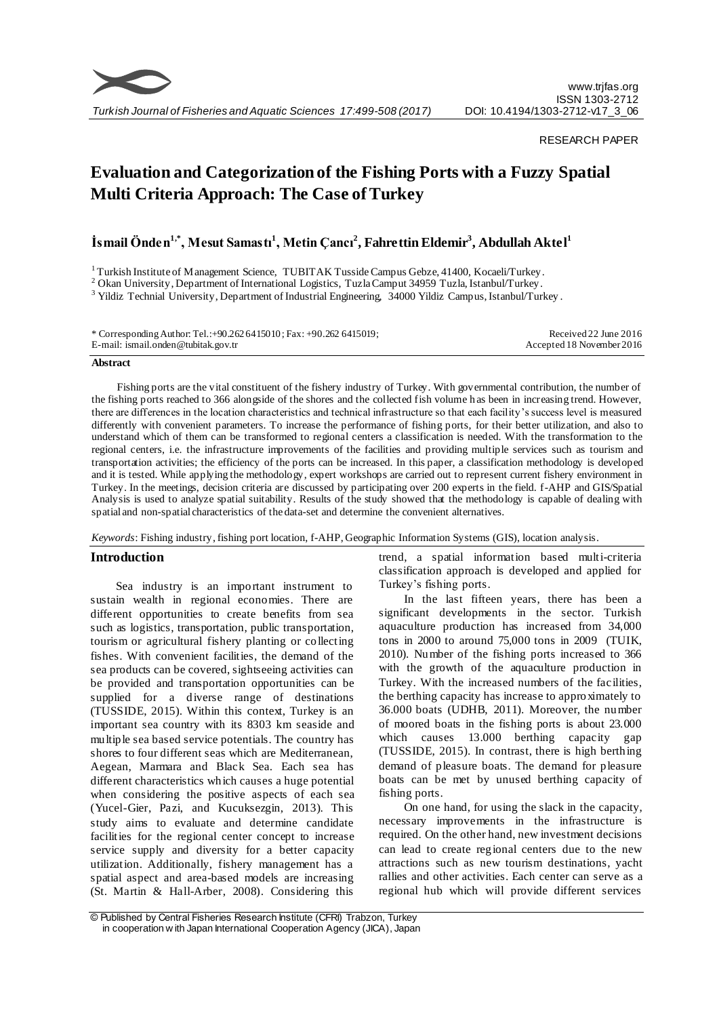

# RESEARCH PAPER

# **Evaluation and Categorization of the Fishing Ports with a Fuzzy Spatial Multi Criteria Approach: The Case of Turkey**

# **İsmail Önden1,\*, Mesut Samastı<sup>1</sup> , Metin Çancı<sup>2</sup> , Fahrettin Eldemir<sup>3</sup> , Abdullah Aktel<sup>1</sup>**

<sup>1</sup> Turkish Institute of Management Science, TUBITAK Tusside Campus Gebze, 41400, Kocaeli/Turkey.

<sup>2</sup> Okan University, Department of International Logistics, Tuzla Camput 34959 Tuzla, Istanbul/Turkey.

<sup>3</sup> Yildiz Technial University, Department of Industrial Engineering, 34000 Yildiz Campus, Istanbul/Turkey.

| * Corresponding Author: Tel.: +90.262 6415010; Fax: +90.262 6415019; | Received 22 June 2016     |
|----------------------------------------------------------------------|---------------------------|
| E-mail: ismail.onden@tubitak.gov.tr                                  | Accepted 18 November 2016 |

#### **Abstract**

Fishing ports are the vital constituent of the fishery industry of Turkey. With governmental contribution, the number of the fishing ports reached to 366 alongside of the shores and the collected fish volume h as been in increasing trend. However, there are differences in the location characteristics and technical infrastructure so that each facility's success level is measured differently with convenient parameters. To increase the performance of fishing ports, for their better utilization, and also to understand which of them can be transformed to regional centers a classification is needed. With the transformation to the regional centers, i.e. the infrastructure improvements of the facilities and providing multiple services such as tourism and transportation activities; the efficiency of the ports can be increased. In this paper, a classification methodology is developed and it is tested. While applying the methodology, expert workshops are carried out to represent current fishery environment in Turkey. In the meetings, decision criteria are discussed by participating over 200 experts in the field. f-AHP and GIS/Spatial Analysis is used to analyze spatial suitability. Results of the study showed that the methodology is capable of dealing with spatial and non-spatial characteristics of the data-set and determine the convenient alternatives.

*Keywords*: Fishing industry, fishing port location, f-AHP, Geographic Information Systems (GIS), location analysis.

# **Introduction**

Sea industry is an important instrument to sustain wealth in regional economies. There are different opportunities to create benefits from sea such as logistics, transportation, public transportation, tourism or agricultural fishery planting or collecting fishes. With convenient facilities, the demand of the sea products can be covered, sightseeing activities can be provided and transportation opportunities can be supplied for a diverse range of destinations (TUSSIDE, 2015). Within this context, Turkey is an important sea country with its 8303 km seaside and multiple sea based service potentials. The country has shores to four different seas which are Mediterranean, Aegean, Marmara and Black Sea. Each sea has different characteristics which causes a huge potential when considering the positive aspects of each sea (Yucel-Gier, Pazi, and Kucuksezgin, 2013). This study aims to evaluate and determine candidate facilities for the regional center concept to increase service supply and diversity for a better capacity utilization. Additionally, fishery management has a spatial aspect and area-based models are increasing (St. Martin & Hall-Arber, 2008). Considering this

trend, a spatial information based multi-criteria classification approach is developed and applied for Turkey's fishing ports.

In the last fifteen years, there has been a significant developments in the sector. Turkish aquaculture production has increased from 34,000 tons in 2000 to around 75,000 tons in 2009 (TUIK, 2010). Number of the fishing ports increased to 366 with the growth of the aquaculture production in Turkey. With the increased numbers of the facilities, the berthing capacity has increase to approximately to 36.000 boats (UDHB, 2011). Moreover, the number of moored boats in the fishing ports is about 23.000 which causes 13.000 berthing capacity gap (TUSSIDE, 2015). In contrast, there is high berthing demand of pleasure boats. The demand for pleasure boats can be met by unused berthing capacity of fishing ports.

On one hand, for using the slack in the capacity, necessary improvements in the infrastructure is required. On the other hand, new investment decisions can lead to create regional centers due to the new attractions such as new tourism destinations, yacht rallies and other activities. Each center can serve as a regional hub which will provide different services

<sup>©</sup> Published by Central Fisheries Research Institute (CFRI) Trabzon, Turkey in cooperation w ith Japan International Cooperation Agency (JICA), Japan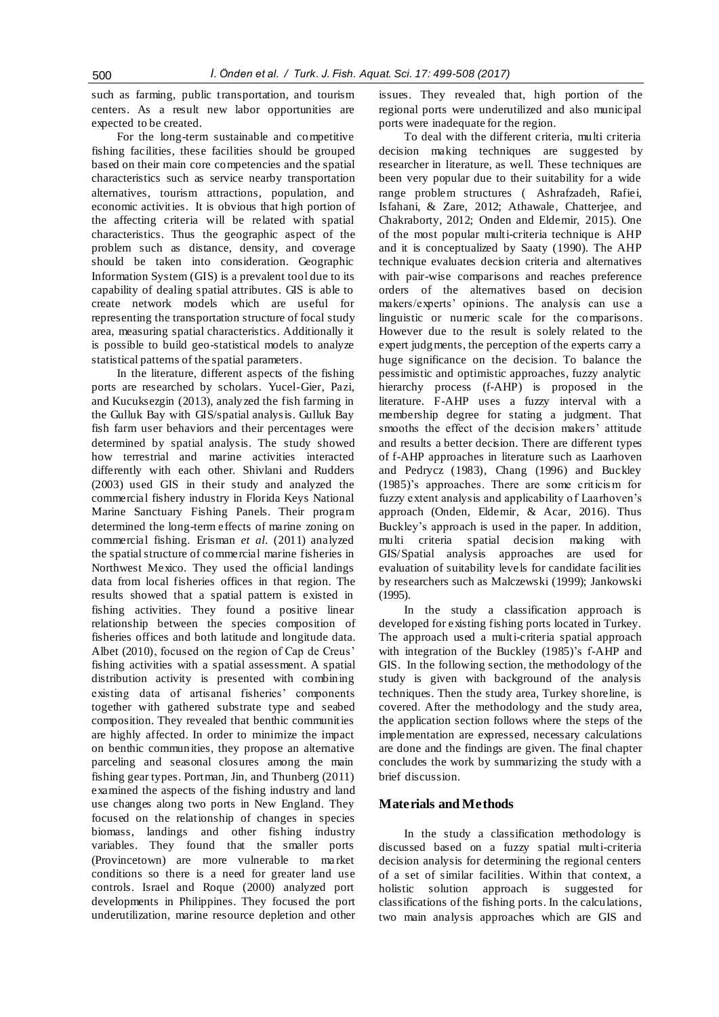such as farming, public transportation, and tourism centers. As a result new labor opportunities are expected to be created.

For the long-term sustainable and competitive fishing facilities, these facilities should be grouped based on their main core competencies and the spatial characteristics such as service nearby transportation alternatives, tourism attractions, population, and economic activities. It is obvious that high portion of the affecting criteria will be related with spatial characteristics. Thus the geographic aspect of the problem such as distance, density, and coverage should be taken into consideration. Geographic Information System (GIS) is a prevalent tool due to its capability of dealing spatial attributes. GIS is able to create network models which are useful for representing the transportation structure of focal study area, measuring spatial characteristics. Additionally it is possible to build geo-statistical models to analyze statistical patterns of the spatial parameters.

In the literature, different aspects of the fishing ports are researched by scholars. Yucel-Gier, Pazi, and Kucuksezgin (2013), analyzed the fish farming in the Gulluk Bay with GIS/spatial analysis. Gulluk Bay fish farm user behaviors and their percentages were determined by spatial analysis. The study showed how terrestrial and marine activities interacted differently with each other. Shivlani and Rudders (2003) used GIS in their study and analyzed the commercial fishery industry in Florida Keys National Marine Sanctuary Fishing Panels. Their program determined the long-term effects of marine zoning on commercial fishing. Erisman *et al.* (2011) analyzed the spatial structure of commercial marine fisheries in Northwest Mexico. They used the official landings data from local fisheries offices in that region. The results showed that a spatial pattern is existed in fishing activities. They found a positive linear relationship between the species composition of fisheries offices and both latitude and longitude data. Albet (2010), focused on the region of Cap de Creus' fishing activities with a spatial assessment. A spatial distribution activity is presented with combining existing data of artisanal fisheries' components together with gathered substrate type and seabed composition. They revealed that benthic communities are highly affected. In order to minimize the impact on benthic communities, they propose an alternative parceling and seasonal closures among the main fishing gear types. Portman, Jin, and Thunberg (2011) examined the aspects of the fishing industry and land use changes along two ports in New England. They focused on the relationship of changes in species biomass, landings and other fishing industry variables. They found that the smaller ports (Provincetown) are more vulnerable to ma rket conditions so there is a need for greater land use controls. Israel and Roque (2000) analyzed port developments in Philippines. They focused the port underutilization, marine resource depletion and other issues. They revealed that, high portion of the regional ports were underutilized and also municipal ports were inadequate for the region.

To deal with the different criteria, multi criteria decision making techniques are suggested by researcher in literature, as well. These techniques are been very popular due to their suitability for a wide range problem structures ( Ashrafzadeh, Rafiei, Isfahani, & Zare, 2012; Athawale, Chatterjee, and Chakraborty, 2012; Onden and Eldemir, 2015). One of the most popular multi-criteria technique is AHP and it is conceptualized by Saaty (1990). The AHP technique evaluates decision criteria and alternatives with pair-wise comparisons and reaches preference orders of the alternatives based on decision makers/experts' opinions. The analysis can use a linguistic or numeric scale for the comparisons. However due to the result is solely related to the expert judgments, the perception of the experts carry a huge significance on the decision. To balance the pessimistic and optimistic approaches, fuzzy analytic hierarchy process (f-AHP) is proposed in the literature. F-AHP uses a fuzzy interval with a membership degree for stating a judgment. That smooths the effect of the decision makers' attitude and results a better decision. There are different types of f-AHP approaches in literature such as Laarhoven and Pedrycz (1983), Chang (1996) and Buckley (1985)'s approaches. There are some criticis m for fuzzy extent analysis and applicability of Laarhoven's approach (Onden, Eldemir, & Acar, 2016). Thus Buckley's approach is used in the paper. In addition, multi criteria spatial decision making with GIS/Spatial analysis approaches are used for evaluation of suitability levels for candidate facilities by researchers such as Malczewski (1999); Jankowski (1995).

In the study a classification approach is developed for existing fishing ports located in Turkey. The approach used a multi-criteria spatial approach with integration of the Buckley (1985)'s f-AHP and GIS. In the following section, the methodology of the study is given with background of the analysis techniques. Then the study area, Turkey shoreline, is covered. After the methodology and the study area, the application section follows where the steps of the implementation are expressed, necessary calculations are done and the findings are given. The final chapter concludes the work by summarizing the study with a brief discussion.

# **Materials and Methods**

In the study a classification methodology is discussed based on a fuzzy spatial multi-criteria decision analysis for determining the regional centers of a set of similar facilities. Within that context, a holistic solution approach is suggested for classifications of the fishing ports. In the calculations, two main analysis approaches which are GIS and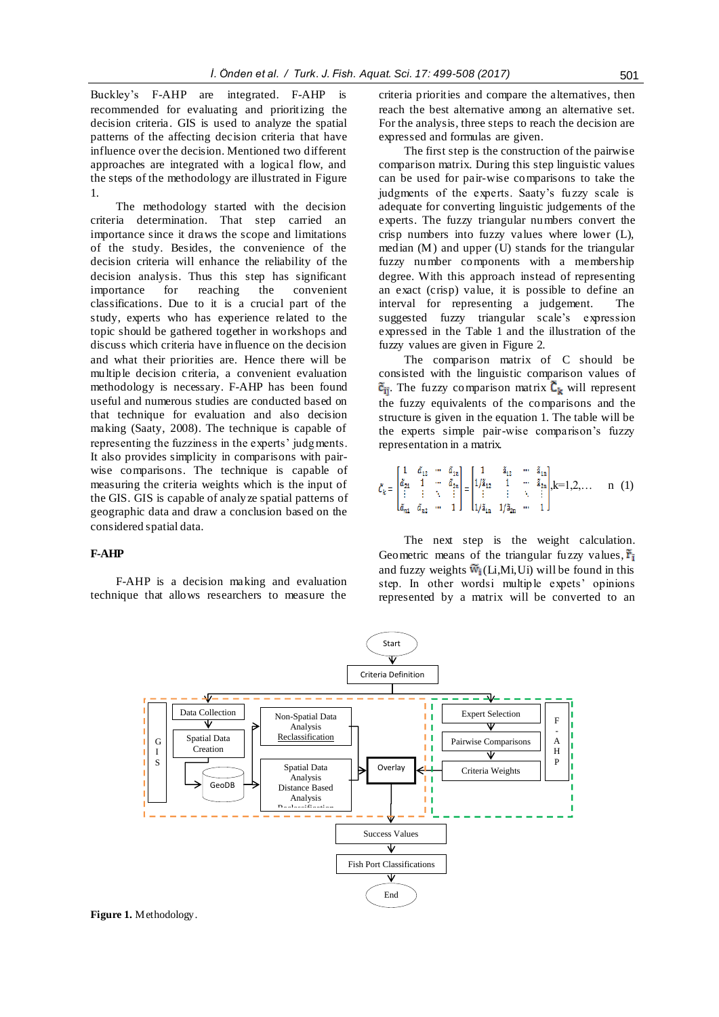Buckley's F-AHP are integrated. F-AHP recommended for evaluating and prioritizing the decision criteria. GIS is used to analyze the spatial patterns of the affecting decision criteria that have influence over the decision. Mentioned two different approaches are integrated with a logical flow, and the steps of the methodology are illustrated in Figure 1.

The methodology started with the decision criteria determination. That step carried an importance since it draws the scope and limitations of the study. Besides, the convenience of the decision criteria will enhance the reliability of the decision analysis. Thus this step has significant importance for reaching the convenient classifications. Due to it is a crucial part of the study, experts who has experience related to the topic should be gathered together in workshops and discuss which criteria have influence on the decision and what their priorities are. Hence there will be multiple decision criteria, a convenient evaluation methodology is necessary. F-AHP has been found useful and numerous studies are conducted based on that technique for evaluation and also decision making (Saaty, 2008). The technique is capable of representing the fuzziness in the experts' judgments. It also provides simplicity in comparisons with pairwise comparisons. The technique is capable of measuring the criteria weights which is the input of the GIS. GIS is capable of analyze spatial patterns of geographic data and draw a conclusion based on the considered spatial data.

# **F-AHP**

F-AHP is a decision making and evaluation technique that allows researchers to measure the

criteria priorities and compare the alternatives, then reach the best alternative among an alternative set. For the analysis, three steps to reach the decision are expressed and formulas are given.

The first step is the construction of the pairwise comparison matrix. During this step linguistic values can be used for pair-wise comparisons to take the judgments of the experts. Saaty's fuzzy scale is adequate for converting linguistic judgements of the experts. The fuzzy triangular numbers convert the crisp numbers into fuzzy values where lower (L), median (M) and upper (U) stands for the triangular fuzzy number components with a membership degree. With this approach instead of representing an exact (crisp) value, it is possible to define an interval for representing a judgement. The suggested fuzzy triangular scale's expression expressed in the Table 1 and the illustration of the fuzzy values are given in Figure 2.

The comparison matrix of C should be consisted with the linguistic comparison values of  $\tilde{c}_{ii}$ . The fuzzy comparison matrix  $\tilde{c}_k$  will represent the fuzzy equivalents of the comparisons and the structure is given in the equation 1. The table will be the experts simple pair-wise comparison's fuzzy representation in a matrix.

$$
\mathcal{L}_k = \begin{bmatrix} 1 & \tilde{a}_{12} & \cdots & \tilde{a}_{1n} \\ \tilde{a}_{21} & 1 & \cdots & \tilde{a}_{2n} \\ \vdots & \vdots & \ddots & \vdots \\ \tilde{a}_{n1} & \tilde{a}_{n2} & \cdots & 1 \end{bmatrix} = \begin{bmatrix} 1 & \tilde{a}_{12} & \cdots & \tilde{a}_{1n} \\ 1/\tilde{a}_{12} & 1 & \cdots & \tilde{a}_{2n} \\ \vdots & \vdots & \ddots & \vdots \\ 1/\tilde{a}_{1n} & 1/\tilde{a}_{2n} & \cdots & 1 \end{bmatrix}, k = 1, 2, \ldots \quad n \quad (1)
$$

The next step is the weight calculation. Geometric means of the triangular fuzzy values,  $\tilde{r}_i$ and fuzzy weights  $\widetilde{w}_i(Li,Mi,Ui)$  will be found in this step. In other wordsi multiple expets' opinions represented by a matrix will be converted to an

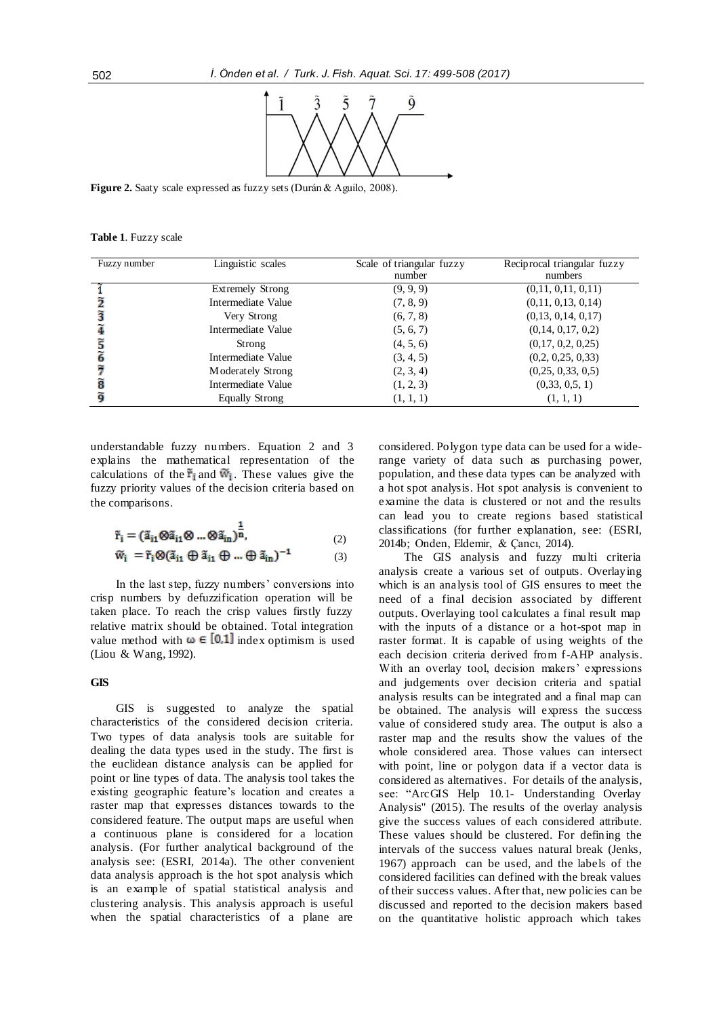

**Figure 2.** Saaty scale expressed as fuzzy sets (Durán & Aguilo, 2008).

**Table 1**. Fuzzy scale

| Fuzzy number | Linguistic scales       | Scale of triangular fuzzy | Reciprocal triangular fuzzy |
|--------------|-------------------------|---------------------------|-----------------------------|
|              |                         | number                    | numbers                     |
|              | <b>Extremely Strong</b> | (9, 9, 9)                 | (0,11, 0,11, 0,11)          |
|              | Intermediate Value      | (7, 8, 9)                 | (0,11, 0,13, 0,14)          |
|              | Very Strong             | (6, 7, 8)                 | (0,13, 0,14, 0,17)          |
|              | Intermediate Value      | (5, 6, 7)                 | (0,14, 0,17, 0,2)           |
|              | Strong                  | (4, 5, 6)                 | (0,17, 0,2, 0,25)           |
|              | Intermediate Value      | (3, 4, 5)                 | (0,2, 0,25, 0,33)           |
|              | Moderately Strong       | (2, 3, 4)                 | (0,25, 0,33, 0,5)           |
| 8            | Intermediate Value      | (1, 2, 3)                 | (0,33, 0,5, 1)              |
|              | <b>Equally Strong</b>   | (1, 1, 1)                 | (1, 1, 1)                   |

understandable fuzzy numbers. Equation 2 and 3 explains the mathematical representation of the calculations of the  $\tilde{r}_i$  and  $\tilde{w}_i$ . These values give the fuzzy priority values of the decision criteria based on the comparisons.

$$
\tilde{\mathbf{r}}_{i} = (\tilde{\mathbf{a}}_{i1} \otimes \tilde{\mathbf{a}}_{i1} \otimes \dots \otimes \tilde{\mathbf{a}}_{in})^{\frac{1}{n}},\tag{2}
$$

$$
\widetilde{\mathbf{w}}_i = \widetilde{\mathbf{r}}_i \otimes (\widetilde{\mathbf{a}}_{i1} \oplus \widetilde{\mathbf{a}}_{i1} \oplus \dots \oplus \widetilde{\mathbf{a}}_{in})^{-1} \tag{3}
$$

In the last step, fuzzy numbers' conversions into crisp numbers by defuzzification operation will be taken place. To reach the crisp values firstly fuzzy relative matrix should be obtained. Total integration value method with  $\omega \in [0,1]$  index optimism is used (Liou & Wang, 1992).

# **GIS**

GIS is suggested to analyze the spatial characteristics of the considered decision criteria. Two types of data analysis tools are suitable for dealing the data types used in the study. The first is the euclidean distance analysis can be applied for point or line types of data. The analysis tool takes the existing geographic feature's location and creates a raster map that expresses distances towards to the considered feature. The output maps are useful when a continuous plane is considered for a location analysis. (For further analytical background of the analysis see: (ESRI, 2014a). The other convenient data analysis approach is the hot spot analysis which is an example of spatial statistical analysis and clustering analysis. This analysis approach is useful when the spatial characteristics of a plane are considered. Polygon type data can be used for a widerange variety of data such as purchasing power, population, and these data types can be analyzed with a hot spot analysis. Hot spot analysis is convenient to examine the data is clustered or not and the results can lead you to create regions based statistical classifications (for further explanation, see: (ESRI, 2014b; Onden, Eldemir, & Çancı, 2014).

The GIS analysis and fuzzy multi criteria analysis create a various set of outputs. Overlaying which is an analysis tool of GIS ensures to meet the need of a final decision associated by different outputs. Overlaying tool calculates a final result map with the inputs of a distance or a hot-spot map in raster format. It is capable of using weights of the each decision criteria derived from f-AHP analysis. With an overlay tool, decision makers' expressions and judgements over decision criteria and spatial analysis results can be integrated and a final map can be obtained. The analysis will express the success value of considered study area. The output is also a raster map and the results show the values of the whole considered area. Those values can intersect with point, line or polygon data if a vector data is considered as alternatives. For details of the analysis, see: "ArcGIS Help 10.1- Understanding Overlay Analysis" (2015). The results of the overlay analysis give the success values of each considered attribute. These values should be clustered. For defining the intervals of the success values natural break (Jenks, 1967) approach can be used, and the labels of the considered facilities can defined with the break values of their success values. After that, new policies can be discussed and reported to the decision makers based on the quantitative holistic approach which takes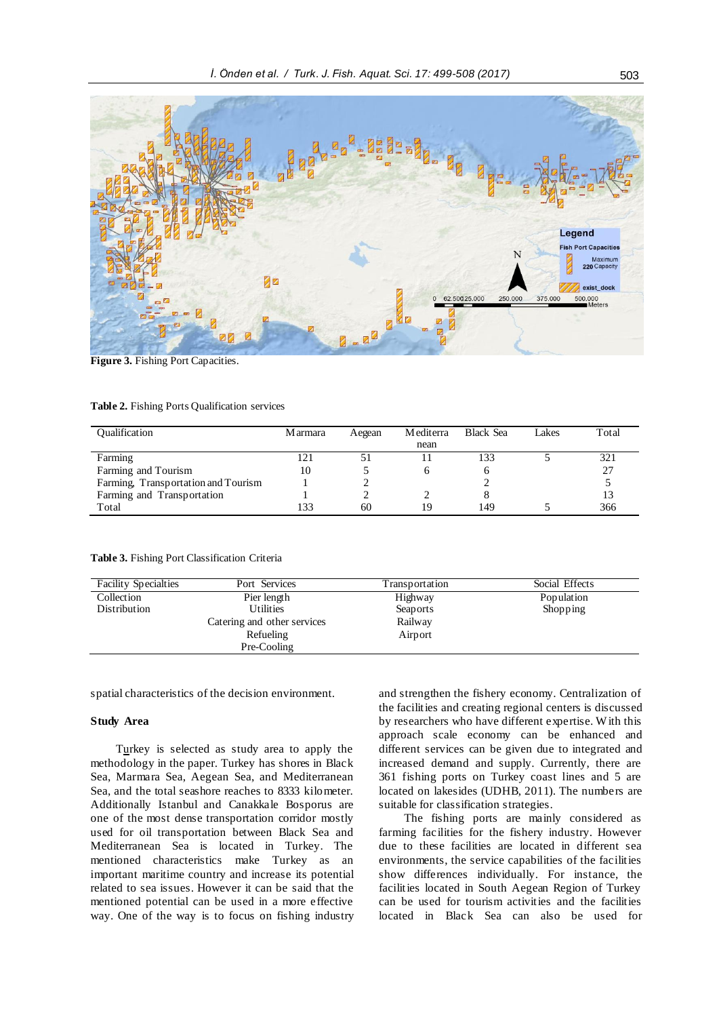

**Figure 3.** Fishing Port Capacities.

#### **Table 2.** Fishing Ports Qualification services

| <b>Qualification</b>                | M armara | Aegean | Mediterra | <b>Black Sea</b> | Lakes | Total |
|-------------------------------------|----------|--------|-----------|------------------|-------|-------|
|                                     |          |        | nean      |                  |       |       |
| Farming                             | 21       |        |           | 133              |       | 321   |
| Farming and Tourism                 | 10       |        |           |                  |       | 27    |
| Farming, Transportation and Tourism |          |        |           |                  |       |       |
| Farming and Transportation          |          |        |           |                  |       |       |
| Total                               | 33       | 60     | 19        | 149              |       | 366   |

**Table 3.** Fishing Port Classification Criteria

| <b>Facility Specialties</b> | Port Services               | Fransportation | Social Effects |
|-----------------------------|-----------------------------|----------------|----------------|
| Collection                  | Pier length                 | Highway        | Population     |
| Distribution                | <b>Utilities</b>            | Seaports       | Shopping       |
|                             | Catering and other services | Railway        |                |
|                             | Refueling                   | Airport        |                |
|                             | Pre-Cooling                 |                |                |

spatial characteristics of the decision environment.

#### **Study Area**

Turkey is selected as study area to apply the methodology in the paper. Turkey has shores in Black Sea, Marmara Sea, Aegean Sea, and Mediterranean Sea, and the total seashore reaches to 8333 kilometer. Additionally Istanbul and Canakkale Bosporus are one of the most dense transportation corridor mostly used for oil transportation between Black Sea and Mediterranean Sea is located in Turkey. The mentioned characteristics make Turkey as an important maritime country and increase its potential related to sea issues. However it can be said that the mentioned potential can be used in a more effective way. One of the way is to focus on fishing industry and strengthen the fishery economy. Centralization of the facilities and creating regional centers is discussed by researchers who have different expertise. W ith this approach scale economy can be enhanced and different services can be given due to integrated and increased demand and supply. Currently, there are 361 fishing ports on Turkey coast lines and 5 are located on lakesides (UDHB, 2011). The numbers are suitable for classification strategies.

The fishing ports are mainly considered as farming facilities for the fishery industry. However due to these facilities are located in different sea environments, the service capabilities of the facilities show differences individually. For instance, the facilities located in South Aegean Region of Turkey can be used for tourism activities and the facilities located in Black Sea can also be used for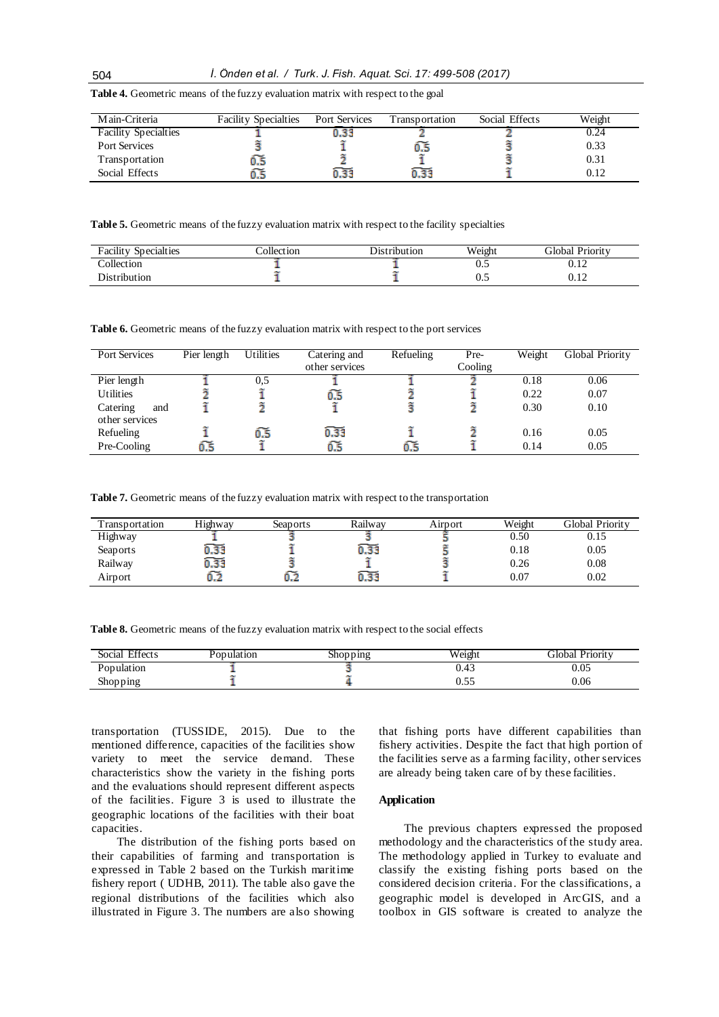| Main-Criteria               | <b>Facility Specialties</b> | Port Services | Transportation | Social Effects | Weight |
|-----------------------------|-----------------------------|---------------|----------------|----------------|--------|
| <b>Facility Specialties</b> |                             |               |                |                | ).24   |
| <b>Port Services</b>        |                             |               |                |                | 0.33   |
| Transportation              |                             |               |                |                | 0.31   |
| Social Effects              |                             | 0.33          |                |                |        |

**Table 4.** Geometric means of the fuzzy evaluation matrix with respect to the goal

**Table 5.** Geometric means of the fuzzy evaluation matrix with respect to the facility specialties

| $\cdots$<br>Specialties<br>racılıtv | $\mathbf{11}$<br>`ollect1on | )1stribut10n | Weight | <b>Global Priority</b> |
|-------------------------------------|-----------------------------|--------------|--------|------------------------|
| <sup>o</sup> ollection              |                             |              | ∪.∟    | 0.10<br>∪.⊥∠           |
| Distribution                        |                             |              | U.J    | $\mathbf{1}$<br>∪.⊥∠   |

**Table 6.** Geometric means of the fuzzy evaluation matrix with respect to the port services

| <b>Port Services</b> | $\overline{\text{Pier}}$ length | <b>Utilities</b> | Catering and   | Refueling | Pre-    | Weight | Global Priority |
|----------------------|---------------------------------|------------------|----------------|-----------|---------|--------|-----------------|
|                      |                                 |                  | other services |           | Cooling |        |                 |
| Pier length          |                                 | 0.5              |                |           |         | 0.18   | 0.06            |
| <b>Utilities</b>     |                                 |                  | 0.5            |           |         | 0.22   | 0.07            |
| Catering<br>and      |                                 |                  |                |           |         | 0.30   | 0.10            |
| other services       |                                 |                  |                |           |         |        |                 |
| Refueling            |                                 |                  | 0.33           |           |         | 0.16   | 0.05            |
| Pre-Cooling          | Ó.5                             |                  |                | 0.5       |         | 0.14   | 0.05            |

**Table 7.** Geometric means of the fuzzy evaluation matrix with respect to the transportation

| Transportation | Highwav | Seaports | Railwav           | Airport | Weight | Global Priority |
|----------------|---------|----------|-------------------|---------|--------|-----------------|
| Highway        |         |          |                   |         | 0.50   | 0.15            |
| Seaports       | 0.33    |          | ò.33              |         | 0.18   | 0.05            |
| Railway        | U.JJ    |          |                   |         | 0.26   | 0.08            |
| Airport        |         |          | $0.\overline{3}3$ |         | 0.07   | 0.02            |

**Table 8.** Geometric means of the fuzzy evaluation matrix with respect to the social effects

| Effects<br>Social | Population | Shopping | Weight | <b>Global Priority</b> |
|-------------------|------------|----------|--------|------------------------|
| Population        |            |          | U.42   | 0.05                   |
| Shopping          |            |          | ∪.∪    | 0.06                   |

transportation (TUSSIDE, 2015). Due to the mentioned difference, capacities of the facilities show variety to meet the service demand. These characteristics show the variety in the fishing ports and the evaluations should represent different aspects of the facilities. Figure 3 is used to illustrate the geographic locations of the facilities with their boat capacities.

The distribution of the fishing ports based on their capabilities of farming and transportation is expressed in Table 2 based on the Turkish maritime fishery report ( UDHB, 2011). The table also gave the regional distributions of the facilities which also illustrated in Figure 3. The numbers are also showing

that fishing ports have different capabilities than fishery activities. Despite the fact that high portion of the facilities serve as a farming facility, other services are already being taken care of by these facilities.

# **Application**

The previous chapters expressed the proposed methodology and the characteristics of the study area. The methodology applied in Turkey to evaluate and classify the existing fishing ports based on the considered decision criteria. For the classifications, a geographic model is developed in ArcGIS, and a toolbox in GIS software is created to analyze the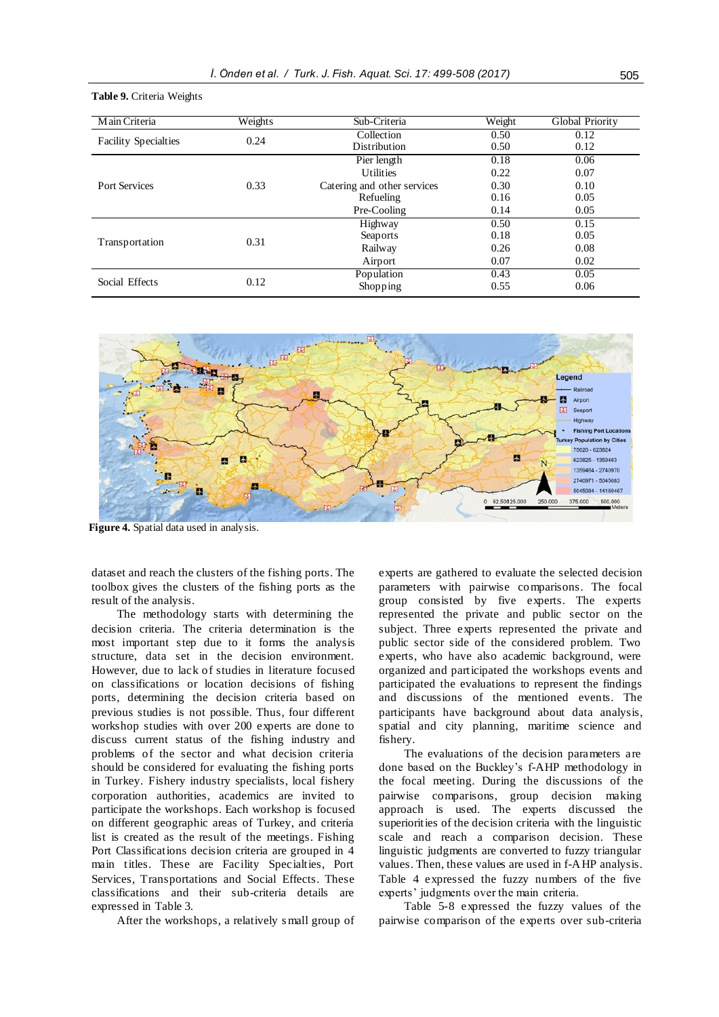**Table 9.** Criteria Weights

| Main Criteria               | Weights | Sub-Criteria                | Weight | Global Priority |
|-----------------------------|---------|-----------------------------|--------|-----------------|
| <b>Facility Specialties</b> | 0.24    | Collection                  | 0.50   | 0.12            |
|                             |         | Distribution                | 0.50   | 0.12            |
|                             |         | Pier length                 | 0.18   | 0.06            |
|                             |         | <b>Utilities</b>            | 0.22   | 0.07            |
| <b>Port Services</b>        | 0.33    | Catering and other services | 0.30   | 0.10            |
|                             |         | Refueling                   | 0.16   | 0.05            |
|                             |         | Pre-Cooling                 | 0.14   | 0.05            |
|                             |         | Highway                     | 0.50   | 0.15            |
| Transportation              | 0.31    | Seaports                    | 0.18   | 0.05            |
|                             |         | Railway                     | 0.26   | 0.08            |
|                             |         | Airport                     | 0.07   | 0.02            |
|                             |         | Population                  | 0.43   | 0.05            |
| Social Effects              | 0.12    | Shopping                    | 0.55   | 0.06            |



**Figure 4.** Spatial data used in analysis.

dataset and reach the clusters of the fishing ports. The toolbox gives the clusters of the fishing ports as the result of the analysis.

The methodology starts with determining the decision criteria. The criteria determination is the most important step due to it forms the analysis structure, data set in the decision environment. However, due to lack of studies in literature focused on classifications or location decisions of fishing ports, determining the decision criteria based on previous studies is not possible. Thus, four different workshop studies with over 200 experts are done to discuss current status of the fishing industry and problems of the sector and what decision criteria should be considered for evaluating the fishing ports in Turkey. Fishery industry specialists, local fishery corporation authorities, academics are invited to participate the workshops. Each workshop is focused on different geographic areas of Turkey, and criteria list is created as the result of the meetings. Fishing Port Classifications decision criteria are grouped in 4 main titles. These are Facility Specialties, Port Services, Transportations and Social Effects. These classifications and their sub-criteria details are expressed in Table 3.

After the workshops, a relatively s mall group of

experts are gathered to evaluate the selected decision parameters with pairwise comparisons. The focal group consisted by five experts. The experts represented the private and public sector on the subject. Three experts represented the private and public sector side of the considered problem. Two experts, who have also academic background, were organized and participated the workshops events and participated the evaluations to represent the findings and discussions of the mentioned events. The participants have background about data analysis, spatial and city planning, maritime science and fishery.

The evaluations of the decision parameters are done based on the Buckley's f-AHP methodology in the focal meeting. During the discussions of the pairwise comparisons, group decision making approach is used. The experts discussed the superiorities of the decision criteria with the linguistic scale and reach a comparison decision. These linguistic judgments are converted to fuzzy triangular values. Then, these values are used in f-AHP analysis. Table 4 expressed the fuzzy numbers of the five experts' judgments over the main criteria.

Table 5-8 expressed the fuzzy values of the pairwise comparison of the experts over sub-criteria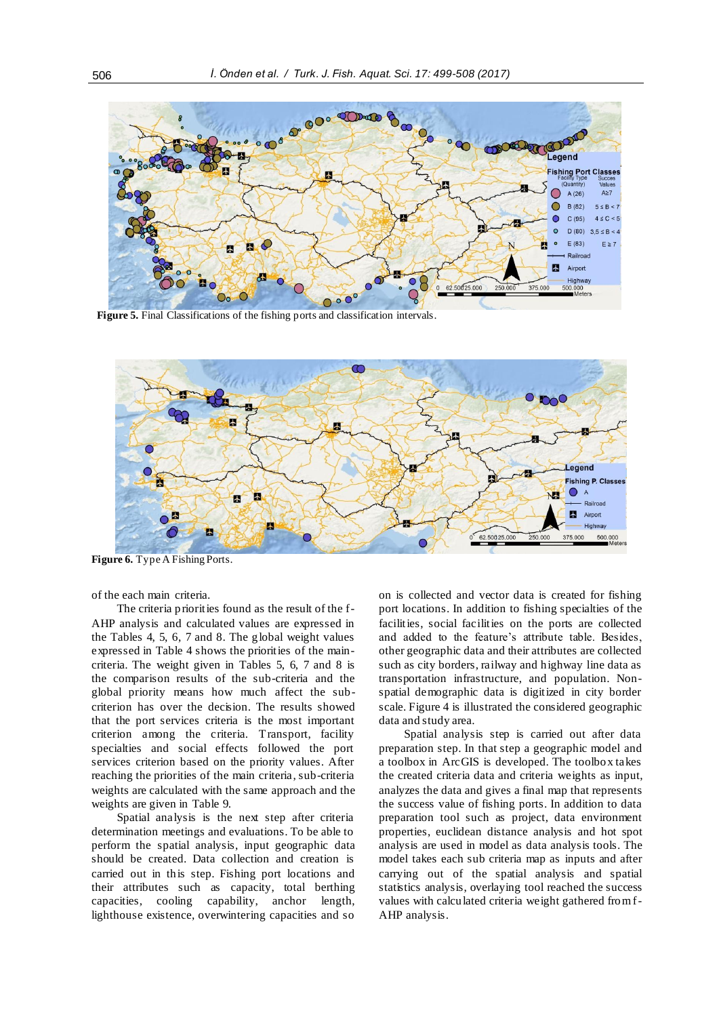

**Figure 5.** Final Classifications of the fishing ports and classification intervals.



**Figure 6.** Type A Fishing Ports.

of the each main criteria.

The criteria priorities found as the result of the f-AHP analysis and calculated values are expressed in the Tables 4, 5, 6, 7 and 8. The global weight values expressed in Table 4 shows the priorities of the maincriteria. The weight given in Tables 5, 6, 7 and 8 is the comparison results of the sub-criteria and the global priority means how much affect the subcriterion has over the decision. The results showed that the port services criteria is the most important criterion among the criteria. Transport, facility specialties and social effects followed the port services criterion based on the priority values. After reaching the priorities of the main criteria, sub-criteria weights are calculated with the same approach and the weights are given in Table 9.

Spatial analysis is the next step after criteria determination meetings and evaluations. To be able to perform the spatial analysis, input geographic data should be created. Data collection and creation is carried out in this step. Fishing port locations and their attributes such as capacity, total berthing capacities, cooling capability, anchor length, lighthouse existence, overwintering capacities and so

on is collected and vector data is created for fishing port locations. In addition to fishing specialties of the facilities, social facilities on the ports are collected and added to the feature's attribute table. Besides, other geographic data and their attributes are collected such as city borders, railway and highway line data as transportation infrastructure, and population. Nonspatial demographic data is digitized in city border scale. Figure 4 is illustrated the considered geographic data and study area.

Spatial analysis step is carried out after data preparation step. In that step a geographic model and a toolbox in ArcGIS is developed. The toolbox takes the created criteria data and criteria weights as input, analyzes the data and gives a final map that represents the success value of fishing ports. In addition to data preparation tool such as project, data environment properties, euclidean distance analysis and hot spot analysis are used in model as data analysis tools. The model takes each sub criteria map as inputs and after carrying out of the spatial analysis and spatial statistics analysis, overlaying tool reached the success values with calculated criteria weight gathered from f-AHP analysis.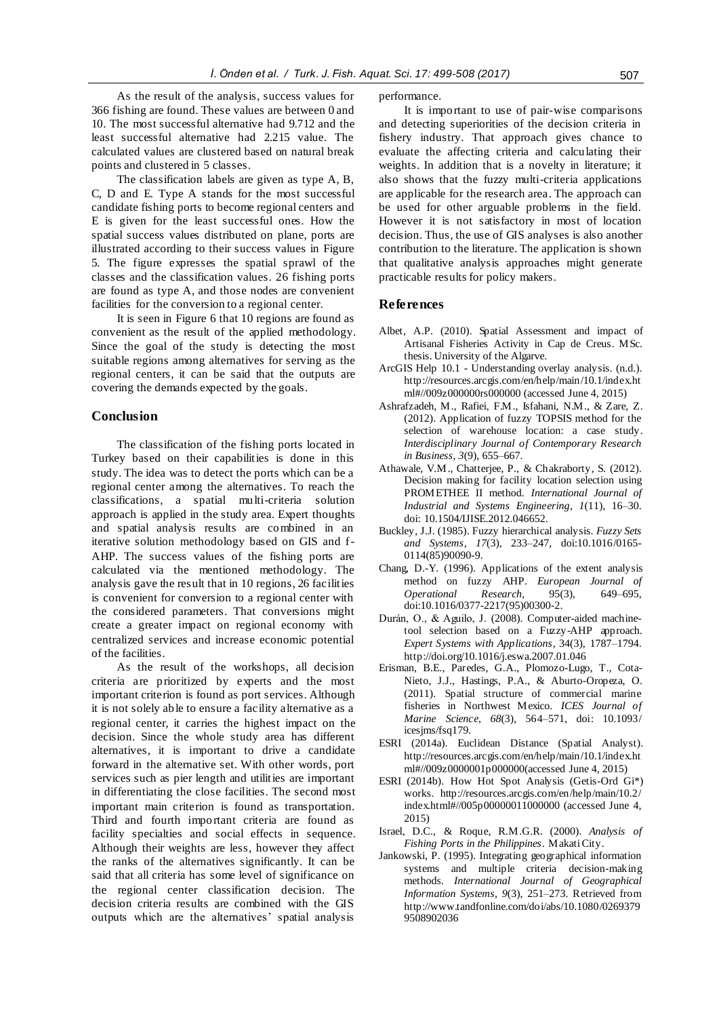As the result of the analysis, success values for 366 fishing are found. These values are between 0 and 10. The most successful alternative had 9.712 and the least successful alternative had 2.215 value. The calculated values are clustered based on natural break points and clustered in 5 classes.

The classification labels are given as type A, B, C, D and E. Type A stands for the most successful candidate fishing ports to become regional centers and E is given for the least successful ones. How the spatial success values distributed on plane, ports are illustrated according to their success values in Figure 5. The figure expresses the spatial sprawl of the classes and the classification values. 26 fishing ports are found as type A, and those nodes are convenient facilities for the conversion to a regional center.

It is seen in Figure 6 that 10 regions are found as convenient as the result of the applied methodology. Since the goal of the study is detecting the most suitable regions among alternatives for serving as the regional centers, it can be said that the outputs are covering the demands expected by the goals.

# **Conclusion**

The classification of the fishing ports located in Turkey based on their capabilities is done in this study. The idea was to detect the ports which can be a regional center among the alternatives. To reach the classifications, a spatial multi-criteria solution approach is applied in the study area. Expert thoughts and spatial analysis results are combined in an iterative solution methodology based on GIS and f-AHP. The success values of the fishing ports are calculated via the mentioned methodology. The analysis gave the result that in 10 regions, 26 facilities is convenient for conversion to a regional center with the considered parameters. That conversions might create a greater impact on regional economy with centralized services and increase economic potential of the facilities.

As the result of the workshops, all decision criteria are prioritized by experts and the most important criterion is found as port services. Although it is not solely able to ensure a facility alternative as a regional center, it carries the highest impact on the decision. Since the whole study area has different alternatives, it is important to drive a candidate forward in the alternative set. With other words, port services such as pier length and utilities are important in differentiating the close facilities. The second most important main criterion is found as transportation. Third and fourth important criteria are found as facility specialties and social effects in sequence. Although their weights are less, however they affect the ranks of the alternatives significantly. It can be said that all criteria has some level of significance on the regional center classification decision. The decision criteria results are combined with the GIS outputs which are the alternatives' spatial analysis

performance.

It is important to use of pair-wise comparisons and detecting superiorities of the decision criteria in fishery industry. That approach gives chance to evaluate the affecting criteria and calculating their weights. In addition that is a novelty in literature; it also shows that the fuzzy multi-criteria applications are applicable for the research area. The approach can be used for other arguable problems in the field. However it is not satisfactory in most of location decision. Thus, the use of GIS analyses is also another contribution to the literature. The application is shown that qualitative analysis approaches might generate practicable results for policy makers.

#### **References**

- Albet, A.P. (2010). Spatial Assessment and impact of Artisanal Fisheries Activity in Cap de Creus. MSc. thesis. University of the Algarve.
- ArcGIS Help 10.1 Understanding overlay analysis. (n.d.). http://resources.arcgis.com/en/help/main/10.1/index.ht ml#//009z000000rs000000 (accessed June 4, 2015)
- Ashrafzadeh, M., Rafiei, F.M., Isfahani, N.M., & Zare, Z. (2012). Application of fuzzy TOPSIS method for the selection of warehouse location: a case study. *Interdisciplinary Journal of Contemporary Research in Business*, *3*(9), 655–667.
- Athawale, V.M., Chatterjee, P., & Chakraborty, S. (2012). Decision making for facility location selection using PROMETHEE II method. *International Journal of Industrial and Systems Engineering*, *1*(11), 16–30. doi: 10.1504/IJISE.2012.046652.
- Buckley, J.J. (1985). Fuzzy hierarchical analysis. *Fuzzy Sets and Systems*, *17*(3), 233–247, doi:10.1016/0165- 0114(85)90090-9.
- Chang, D.-Y. (1996). Applications of the extent analysis method on fuzzy AHP. *European Journal of Operational Research*, 95(3), 649–695, doi:10.1016/0377-2217(95)00300-2.
- Durán, O., & Aguilo, J. (2008). Computer-aided machinetool selection based on a Fuzzy-AHP approach. *Expert Systems with Applications*, 34(3), 1787–1794. http://doi.org/10.1016/j.eswa.2007.01.046
- Erisman, B.E., Paredes, G.A., Plomozo-Lugo, T., Cota-Nieto, J.J., Hastings, P.A., & Aburto-Oropeza, O. (2011). Spatial structure of commercial marine fisheries in Northwest Mexico. *ICES Journal of Marine Science*, *68*(3), 564–571, doi: 10.1093/ icesjms/fsq179.
- ESRI (2014a). Euclidean Distance (Spatial Analyst). http://resources.arcgis.com/en/help/main/10.1/index.ht ml#//009z0000001p000000(accessed June 4, 2015)
- ESRI (2014b). How Hot Spot Analysis (Getis-Ord Gi\*) works. http://resources.arcgis.com/en/help/main/10.2/ index.html#//005p00000011000000 (accessed June 4, 2015)
- Israel, D.C., & Roque, R.M.G.R. (2000). *Analysis of Fishing Ports in the Philippines*. Makati City.
- Jankowski, P. (1995). Integrating geographical information systems and multiple criteria decision-making methods. *International Journal of Geographical Information Systems*, *9*(3), 251–273. Retrieved from http://www.tandfonline.com/doi/abs/10.1080/0269379 9508902036